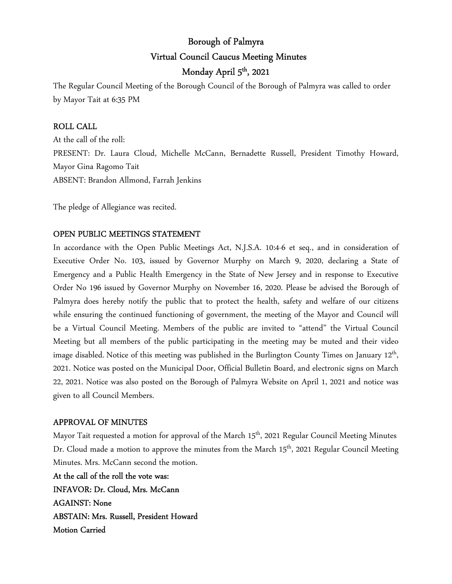# Borough of Palmyra Virtual Council Caucus Meeting Minutes Monday April 5<sup>th</sup>, 2021

The Regular Council Meeting of the Borough Council of the Borough of Palmyra was called to order by Mayor Tait at 6:35 PM

## ROLL CALL

At the call of the roll: PRESENT: Dr. Laura Cloud, Michelle McCann, Bernadette Russell, President Timothy Howard, Mayor Gina Ragomo Tait ABSENT: Brandon Allmond, Farrah Jenkins

The pledge of Allegiance was recited.

## OPEN PUBLIC MEETINGS STATEMENT

In accordance with the Open Public Meetings Act, N.J.S.A. 10:4-6 et seq., and in consideration of Executive Order No. 103, issued by Governor Murphy on March 9, 2020, declaring a State of Emergency and a Public Health Emergency in the State of New Jersey and in response to Executive Order No 196 issued by Governor Murphy on November 16, 2020. Please be advised the Borough of Palmyra does hereby notify the public that to protect the health, safety and welfare of our citizens while ensuring the continued functioning of government, the meeting of the Mayor and Council will be a Virtual Council Meeting. Members of the public are invited to "attend" the Virtual Council Meeting but all members of the public participating in the meeting may be muted and their video image disabled. Notice of this meeting was published in the Burlington County Times on January 12<sup>th</sup>, 2021. Notice was posted on the Municipal Door, Official Bulletin Board, and electronic signs on March 22, 2021. Notice was also posted on the Borough of Palmyra Website on April 1, 2021 and notice was given to all Council Members.

#### APPROVAL OF MINUTES

Mayor Tait requested a motion for approval of the March 15<sup>th</sup>, 2021 Regular Council Meeting Minutes Dr. Cloud made a motion to approve the minutes from the March 15<sup>th</sup>, 2021 Regular Council Meeting Minutes. Mrs. McCann second the motion.

At the call of the roll the vote was: INFAVOR: Dr. Cloud, Mrs. McCann AGAINST: None ABSTAIN: Mrs. Russell, President Howard Motion Carried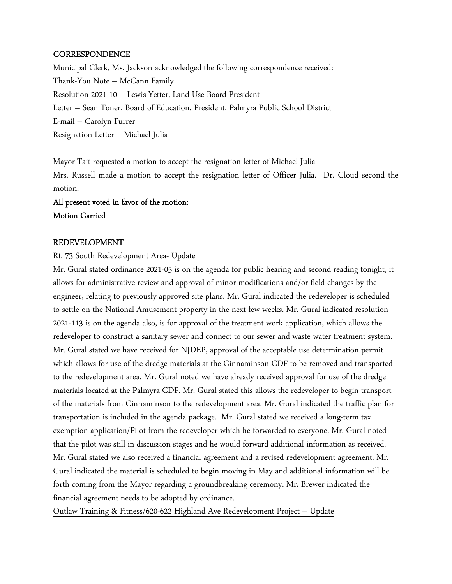#### **CORRESPONDENCE**

Municipal Clerk, Ms. Jackson acknowledged the following correspondence received: Thank-You Note – McCann Family Resolution 2021-10 – Lewis Yetter, Land Use Board President Letter – Sean Toner, Board of Education, President, Palmyra Public School District E-mail – Carolyn Furrer Resignation Letter – Michael Julia

Mayor Tait requested a motion to accept the resignation letter of Michael Julia Mrs. Russell made a motion to accept the resignation letter of Officer Julia. Dr. Cloud second the motion.

# All present voted in favor of the motion: Motion Carried

#### REDEVELOPMENT

#### Rt. 73 South Redevelopment Area- Update

Mr. Gural stated ordinance 2021-05 is on the agenda for public hearing and second reading tonight, it allows for administrative review and approval of minor modifications and/or field changes by the engineer, relating to previously approved site plans. Mr. Gural indicated the redeveloper is scheduled to settle on the National Amusement property in the next few weeks. Mr. Gural indicated resolution 2021-113 is on the agenda also, is for approval of the treatment work application, which allows the redeveloper to construct a sanitary sewer and connect to our sewer and waste water treatment system. Mr. Gural stated we have received for NJDEP, approval of the acceptable use determination permit which allows for use of the dredge materials at the Cinnaminson CDF to be removed and transported to the redevelopment area. Mr. Gural noted we have already received approval for use of the dredge materials located at the Palmyra CDF. Mr. Gural stated this allows the redeveloper to begin transport of the materials from Cinnaminson to the redevelopment area. Mr. Gural indicated the traffic plan for transportation is included in the agenda package. Mr. Gural stated we received a long-term tax exemption application/Pilot from the redeveloper which he forwarded to everyone. Mr. Gural noted that the pilot was still in discussion stages and he would forward additional information as received. Mr. Gural stated we also received a financial agreement and a revised redevelopment agreement. Mr. Gural indicated the material is scheduled to begin moving in May and additional information will be forth coming from the Mayor regarding a groundbreaking ceremony. Mr. Brewer indicated the financial agreement needs to be adopted by ordinance.

Outlaw Training & Fitness/620-622 Highland Ave Redevelopment Project – Update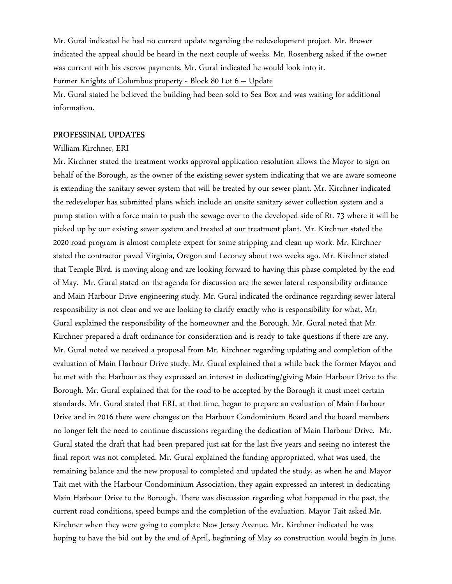Mr. Gural indicated he had no current update regarding the redevelopment project. Mr. Brewer indicated the appeal should be heard in the next couple of weeks. Mr. Rosenberg asked if the owner was current with his escrow payments. Mr. Gural indicated he would look into it. Former Knights of Columbus property - Block 80 Lot 6 – Update

Mr. Gural stated he believed the building had been sold to Sea Box and was waiting for additional information.

#### PROFESSINAL UPDATES

#### William Kirchner, ERI

Mr. Kirchner stated the treatment works approval application resolution allows the Mayor to sign on behalf of the Borough, as the owner of the existing sewer system indicating that we are aware someone is extending the sanitary sewer system that will be treated by our sewer plant. Mr. Kirchner indicated the redeveloper has submitted plans which include an onsite sanitary sewer collection system and a pump station with a force main to push the sewage over to the developed side of Rt. 73 where it will be picked up by our existing sewer system and treated at our treatment plant. Mr. Kirchner stated the 2020 road program is almost complete expect for some stripping and clean up work. Mr. Kirchner stated the contractor paved Virginia, Oregon and Leconey about two weeks ago. Mr. Kirchner stated that Temple Blvd. is moving along and are looking forward to having this phase completed by the end of May. Mr. Gural stated on the agenda for discussion are the sewer lateral responsibility ordinance and Main Harbour Drive engineering study. Mr. Gural indicated the ordinance regarding sewer lateral responsibility is not clear and we are looking to clarify exactly who is responsibility for what. Mr. Gural explained the responsibility of the homeowner and the Borough. Mr. Gural noted that Mr. Kirchner prepared a draft ordinance for consideration and is ready to take questions if there are any. Mr. Gural noted we received a proposal from Mr. Kirchner regarding updating and completion of the evaluation of Main Harbour Drive study. Mr. Gural explained that a while back the former Mayor and he met with the Harbour as they expressed an interest in dedicating/giving Main Harbour Drive to the Borough. Mr. Gural explained that for the road to be accepted by the Borough it must meet certain standards. Mr. Gural stated that ERI, at that time, began to prepare an evaluation of Main Harbour Drive and in 2016 there were changes on the Harbour Condominium Board and the board members no longer felt the need to continue discussions regarding the dedication of Main Harbour Drive. Mr. Gural stated the draft that had been prepared just sat for the last five years and seeing no interest the final report was not completed. Mr. Gural explained the funding appropriated, what was used, the remaining balance and the new proposal to completed and updated the study, as when he and Mayor Tait met with the Harbour Condominium Association, they again expressed an interest in dedicating Main Harbour Drive to the Borough. There was discussion regarding what happened in the past, the current road conditions, speed bumps and the completion of the evaluation. Mayor Tait asked Mr. Kirchner when they were going to complete New Jersey Avenue. Mr. Kirchner indicated he was hoping to have the bid out by the end of April, beginning of May so construction would begin in June.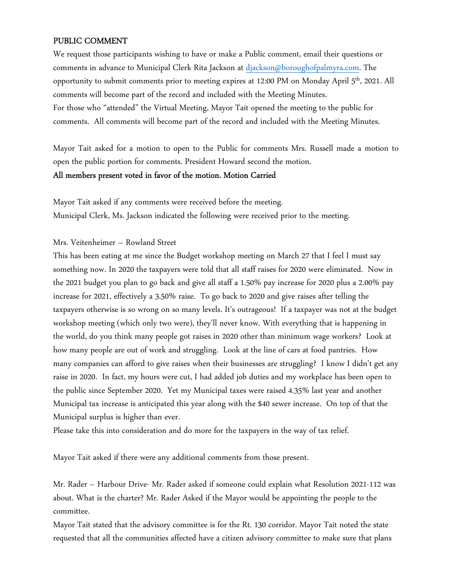## PUBLIC COMMENT

We request those participants wishing to have or make a Public comment, email their questions or comments in advance to Municipal Clerk Rita Jackson at djackson@boroughofpalmyra.com. The opportunity to submit comments prior to meeting expires at 12:00 PM on Monday April 5<sup>th</sup>, 2021. All comments will become part of the record and included with the Meeting Minutes. For those who "attended" the Virtual Meeting, Mayor Tait opened the meeting to the public for comments. All comments will become part of the record and included with the Meeting Minutes.

Mayor Tait asked for a motion to open to the Public for comments Mrs. Russell made a motion to open the public portion for comments. President Howard second the motion.

#### All members present voted in favor of the motion. Motion Carried

Mayor Tait asked if any comments were received before the meeting. Municipal Clerk, Ms. Jackson indicated the following were received prior to the meeting.

#### Mrs. Veitenheimer – Rowland Street

This has been eating at me since the Budget workshop meeting on March 27 that I feel I must say something now. In 2020 the taxpayers were told that all staff raises for 2020 were eliminated. Now in the 2021 budget you plan to go back and give all staff a 1.50% pay increase for 2020 plus a 2.00% pay increase for 2021, effectively a 3.50% raise. To go back to 2020 and give raises after telling the taxpayers otherwise is so wrong on so many levels. It's outrageous! If a taxpayer was not at the budget workshop meeting (which only two were), they'll never know. With everything that is happening in the world, do you think many people got raises in 2020 other than minimum wage workers? Look at how many people are out of work and struggling. Look at the line of cars at food pantries. How many companies can afford to give raises when their businesses are struggling? I know I didn't get any raise in 2020. In fact, my hours were cut, I had added job duties and my workplace has been open to the public since September 2020. Yet my Municipal taxes were raised 4.35% last year and another Municipal tax increase is anticipated this year along with the \$40 sewer increase. On top of that the Municipal surplus is higher than ever.

Please take this into consideration and do more for the taxpayers in the way of tax relief.

Mayor Tait asked if there were any additional comments from those present.

Mr. Rader – Harbour Drive- Mr. Rader asked if someone could explain what Resolution 2021-112 was about. What is the charter? Mr. Rader Asked if the Mayor would be appointing the people to the committee.

Mayor Tait stated that the advisory committee is for the Rt. 130 corridor. Mayor Tait noted the state requested that all the communities affected have a citizen advisory committee to make sure that plans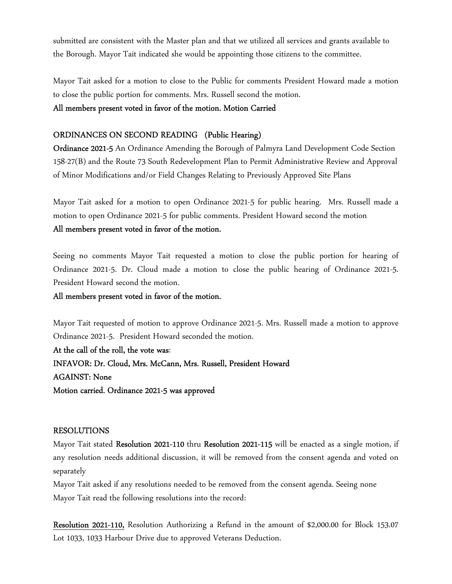submitted are consistent with the Master plan and that we utilized all services and grants available to the Borough. Mayor Tait indicated she would be appointing those citizens to the committee.

Mayor Tait asked for a motion to close to the Public for comments President Howard made a motion to close the public portion for comments. Mrs. Russell second the motion.

#### All members present voted in favor of the motion. Motion Carried

#### ORDINANCES ON SECOND READING (Public Hearing)

Ordinance 2021-5 An Ordinance Amending the Borough of Palmyra Land Development Code Section 158-27(B) and the Route 73 South Redevelopment Plan to Permit Administrative Review and Approval of Minor Modifications and/or Field Changes Relating to Previously Approved Site Plans

Mayor Tait asked for a motion to open Ordinance 2021-5 for public hearing. Mrs. Russell made a motion to open Ordinance 2021-5 for public comments. President Howard second the motion All members present voted in favor of the motion.

Seeing no comments Mayor Tait requested a motion to close the public portion for hearing of Ordinance 2021-5. Dr. Cloud made a motion to close the public hearing of Ordinance 2021-5. President Howard second the motion.

#### All members present voted in favor of the motion.

Mayor Tait requested of motion to approve Ordinance 2021-5. Mrs. Russell made a motion to approve Ordinance 2021-5. President Howard seconded the motion.

At the call of the roll, the vote was: INFAVOR: Dr. Cloud, Mrs. McCann, Mrs. Russell, President Howard AGAINST: None Motion carried. Ordinance 2021-5 was approved

#### RESOLUTIONS

Mayor Tait stated Resolution 2021-110 thru Resolution 2021-115 will be enacted as a single motion, if any resolution needs additional discussion, it will be removed from the consent agenda and voted on separately

Mayor Tait asked if any resolutions needed to be removed from the consent agenda. Seeing none Mayor Tait read the following resolutions into the record:

Resolution 2021-110, Resolution Authorizing a Refund in the amount of \$2,000.00 for Block 153.07 Lot 1033, 1033 Harbour Drive due to approved Veterans Deduction.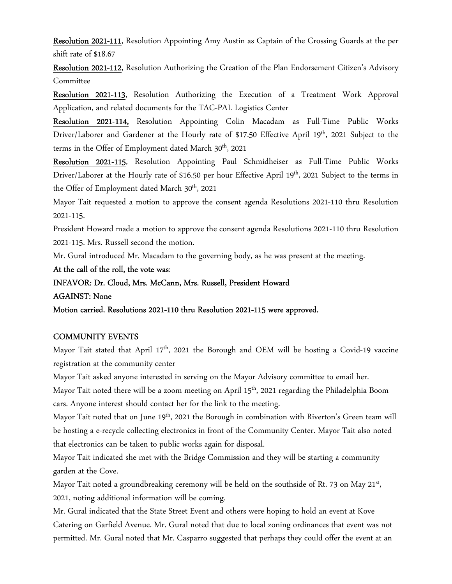Resolution 2021-111, Resolution Appointing Amy Austin as Captain of the Crossing Guards at the per shift rate of \$18.67

Resolution 2021-112, Resolution Authorizing the Creation of the Plan Endorsement Citizen's Advisory **Committee** 

Resolution 2021-113, Resolution Authorizing the Execution of a Treatment Work Approval Application, and related documents for the TAC-PAL Logistics Center

Resolution 2021-114, Resolution Appointing Colin Macadam as Full-Time Public Works Driver/Laborer and Gardener at the Hourly rate of \$17.50 Effective April 19th, 2021 Subject to the terms in the Offer of Employment dated March 30<sup>th</sup>, 2021

Resolution 2021-115, Resolution Appointing Paul Schmidheiser as Full-Time Public Works Driver/Laborer at the Hourly rate of \$16.50 per hour Effective April 19<sup>th</sup>, 2021 Subject to the terms in the Offer of Employment dated March 30<sup>th</sup>, 2021

Mayor Tait requested a motion to approve the consent agenda Resolutions 2021-110 thru Resolution 2021-115.

President Howard made a motion to approve the consent agenda Resolutions 2021-110 thru Resolution 2021-115. Mrs. Russell second the motion.

Mr. Gural introduced Mr. Macadam to the governing body, as he was present at the meeting.

At the call of the roll, the vote was:

#### INFAVOR: Dr. Cloud, Mrs. McCann, Mrs. Russell, President Howard

AGAINST: None

Motion carried. Resolutions 2021-110 thru Resolution 2021-115 were approved.

#### COMMUNITY EVENTS

Mayor Tait stated that April 17<sup>th</sup>, 2021 the Borough and OEM will be hosting a Covid-19 vaccine registration at the community center

Mayor Tait asked anyone interested in serving on the Mayor Advisory committee to email her.

Mayor Tait noted there will be a zoom meeting on April 15<sup>th</sup>, 2021 regarding the Philadelphia Boom cars. Anyone interest should contact her for the link to the meeting.

Mayor Tait noted that on June 19<sup>th</sup>, 2021 the Borough in combination with Riverton's Green team will be hosting a e-recycle collecting electronics in front of the Community Center. Mayor Tait also noted that electronics can be taken to public works again for disposal.

Mayor Tait indicated she met with the Bridge Commission and they will be starting a community garden at the Cove.

Mayor Tait noted a groundbreaking ceremony will be held on the southside of Rt. 73 on May 21<sup>st</sup>, 2021, noting additional information will be coming.

Mr. Gural indicated that the State Street Event and others were hoping to hold an event at Kove Catering on Garfield Avenue. Mr. Gural noted that due to local zoning ordinances that event was not permitted. Mr. Gural noted that Mr. Casparro suggested that perhaps they could offer the event at an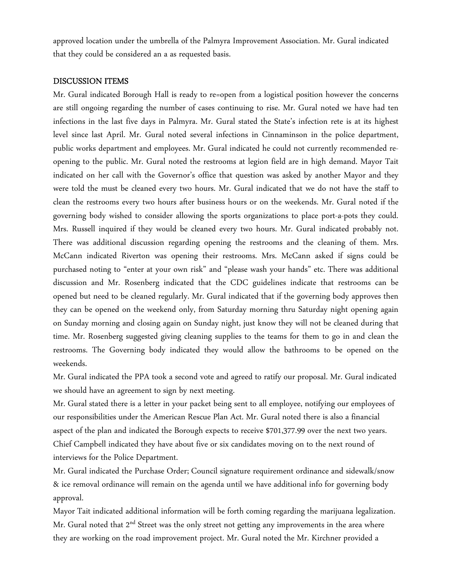approved location under the umbrella of the Palmyra Improvement Association. Mr. Gural indicated that they could be considered an a as requested basis.

#### DISCUSSION ITEMS

Mr. Gural indicated Borough Hall is ready to re=open from a logistical position however the concerns are still ongoing regarding the number of cases continuing to rise. Mr. Gural noted we have had ten infections in the last five days in Palmyra. Mr. Gural stated the State's infection rete is at its highest level since last April. Mr. Gural noted several infections in Cinnaminson in the police department, public works department and employees. Mr. Gural indicated he could not currently recommended reopening to the public. Mr. Gural noted the restrooms at legion field are in high demand. Mayor Tait indicated on her call with the Governor's office that question was asked by another Mayor and they were told the must be cleaned every two hours. Mr. Gural indicated that we do not have the staff to clean the restrooms every two hours after business hours or on the weekends. Mr. Gural noted if the governing body wished to consider allowing the sports organizations to place port-a-pots they could. Mrs. Russell inquired if they would be cleaned every two hours. Mr. Gural indicated probably not. There was additional discussion regarding opening the restrooms and the cleaning of them. Mrs. McCann indicated Riverton was opening their restrooms. Mrs. McCann asked if signs could be purchased noting to "enter at your own risk" and "please wash your hands" etc. There was additional discussion and Mr. Rosenberg indicated that the CDC guidelines indicate that restrooms can be opened but need to be cleaned regularly. Mr. Gural indicated that if the governing body approves then they can be opened on the weekend only, from Saturday morning thru Saturday night opening again on Sunday morning and closing again on Sunday night, just know they will not be cleaned during that time. Mr. Rosenberg suggested giving cleaning supplies to the teams for them to go in and clean the restrooms. The Governing body indicated they would allow the bathrooms to be opened on the weekends.

Mr. Gural indicated the PPA took a second vote and agreed to ratify our proposal. Mr. Gural indicated we should have an agreement to sign by next meeting.

Mr. Gural stated there is a letter in your packet being sent to all employee, notifying our employees of our responsibilities under the American Rescue Plan Act. Mr. Gural noted there is also a financial aspect of the plan and indicated the Borough expects to receive \$701,377.99 over the next two years. Chief Campbell indicated they have about five or six candidates moving on to the next round of interviews for the Police Department.

Mr. Gural indicated the Purchase Order; Council signature requirement ordinance and sidewalk/snow & ice removal ordinance will remain on the agenda until we have additional info for governing body approval.

Mayor Tait indicated additional information will be forth coming regarding the marijuana legalization. Mr. Gural noted that  $2^{nd}$  Street was the only street not getting any improvements in the area where they are working on the road improvement project. Mr. Gural noted the Mr. Kirchner provided a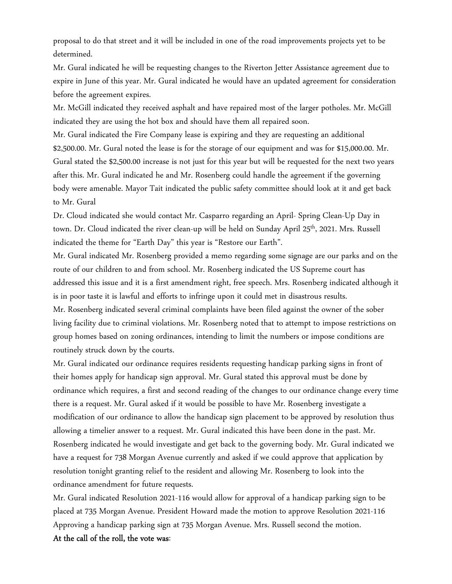proposal to do that street and it will be included in one of the road improvements projects yet to be determined.

Mr. Gural indicated he will be requesting changes to the Riverton Jetter Assistance agreement due to expire in June of this year. Mr. Gural indicated he would have an updated agreement for consideration before the agreement expires.

Mr. McGill indicated they received asphalt and have repaired most of the larger potholes. Mr. McGill indicated they are using the hot box and should have them all repaired soon.

Mr. Gural indicated the Fire Company lease is expiring and they are requesting an additional \$2,500.00. Mr. Gural noted the lease is for the storage of our equipment and was for \$15,000.00. Mr. Gural stated the \$2,500.00 increase is not just for this year but will be requested for the next two years after this. Mr. Gural indicated he and Mr. Rosenberg could handle the agreement if the governing body were amenable. Mayor Tait indicated the public safety committee should look at it and get back to Mr. Gural

Dr. Cloud indicated she would contact Mr. Casparro regarding an April- Spring Clean-Up Day in town. Dr. Cloud indicated the river clean-up will be held on Sunday April 25<sup>th</sup>, 2021. Mrs. Russell indicated the theme for "Earth Day" this year is "Restore our Earth".

Mr. Gural indicated Mr. Rosenberg provided a memo regarding some signage are our parks and on the route of our children to and from school. Mr. Rosenberg indicated the US Supreme court has addressed this issue and it is a first amendment right, free speech. Mrs. Rosenberg indicated although it is in poor taste it is lawful and efforts to infringe upon it could met in disastrous results.

Mr. Rosenberg indicated several criminal complaints have been filed against the owner of the sober living facility due to criminal violations. Mr. Rosenberg noted that to attempt to impose restrictions on group homes based on zoning ordinances, intending to limit the numbers or impose conditions are routinely struck down by the courts.

Mr. Gural indicated our ordinance requires residents requesting handicap parking signs in front of their homes apply for handicap sign approval. Mr. Gural stated this approval must be done by ordinance which requires, a first and second reading of the changes to our ordinance change every time there is a request. Mr. Gural asked if it would be possible to have Mr. Rosenberg investigate a modification of our ordinance to allow the handicap sign placement to be approved by resolution thus allowing a timelier answer to a request. Mr. Gural indicated this have been done in the past. Mr. Rosenberg indicated he would investigate and get back to the governing body. Mr. Gural indicated we have a request for 738 Morgan Avenue currently and asked if we could approve that application by resolution tonight granting relief to the resident and allowing Mr. Rosenberg to look into the ordinance amendment for future requests.

Mr. Gural indicated Resolution 2021-116 would allow for approval of a handicap parking sign to be placed at 735 Morgan Avenue. President Howard made the motion to approve Resolution 2021-116 Approving a handicap parking sign at 735 Morgan Avenue. Mrs. Russell second the motion. At the call of the roll, the vote was: